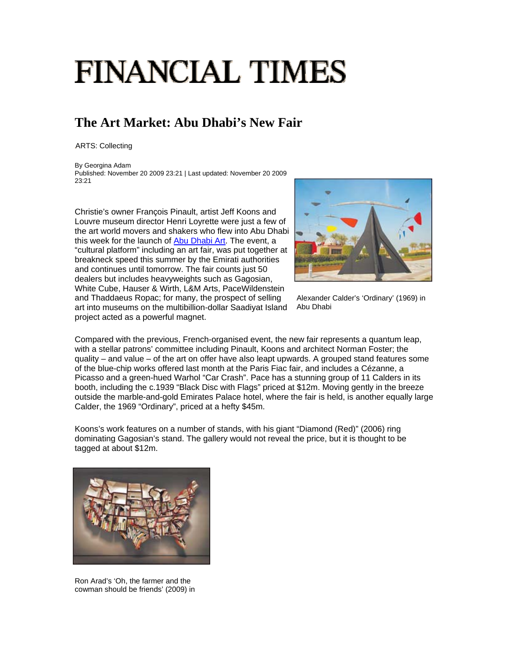## **FINANCIAL TIMES**

## **The Art Market: Abu Dhabi's New Fair**

ARTS: Collecting

By Georgina Adam Published: November 20 2009 23:21 | Last updated: November 20 2009 23:21

Christie's owner François Pinault, artist Jeff Koons and Louvre museum director Henri Loyrette were just a few of the art world movers and shakers who flew into Abu Dhabi this week for the launch of Abu Dhabi Art. The event, a "cultural platform" including an art fair, was put together at breakneck speed this summer by the Emirati authorities and continues until tomorrow. The fair counts just 50 dealers but includes heavyweights such as Gagosian, White Cube, Hauser & Wirth, L&M Arts, PaceWildenstein and Thaddaeus Ropac; for many, the prospect of selling art into museums on the multibillion-dollar Saadiyat Island project acted as a powerful magnet.



Alexander Calder's 'Ordinary' (1969) in Abu Dhabi

Compared with the previous, French-organised event, the new fair represents a quantum leap, with a stellar patrons' committee including Pinault, Koons and architect Norman Foster; the quality – and value – of the art on offer have also leapt upwards. A grouped stand features some of the blue-chip works offered last month at the Paris Fiac fair, and includes a Cézanne, a Picasso and a green-hued Warhol "Car Crash". Pace has a stunning group of 11 Calders in its booth, including the c.1939 "Black Disc with Flags" priced at \$12m. Moving gently in the breeze outside the marble-and-gold Emirates Palace hotel, where the fair is held, is another equally large Calder, the 1969 "Ordinary", priced at a hefty \$45m.

Koons's work features on a number of stands, with his giant "Diamond (Red)" (2006) ring dominating Gagosian's stand. The gallery would not reveal the price, but it is thought to be tagged at about \$12m.



Ron Arad's 'Oh, the farmer and the cowman should be friends' (2009) in